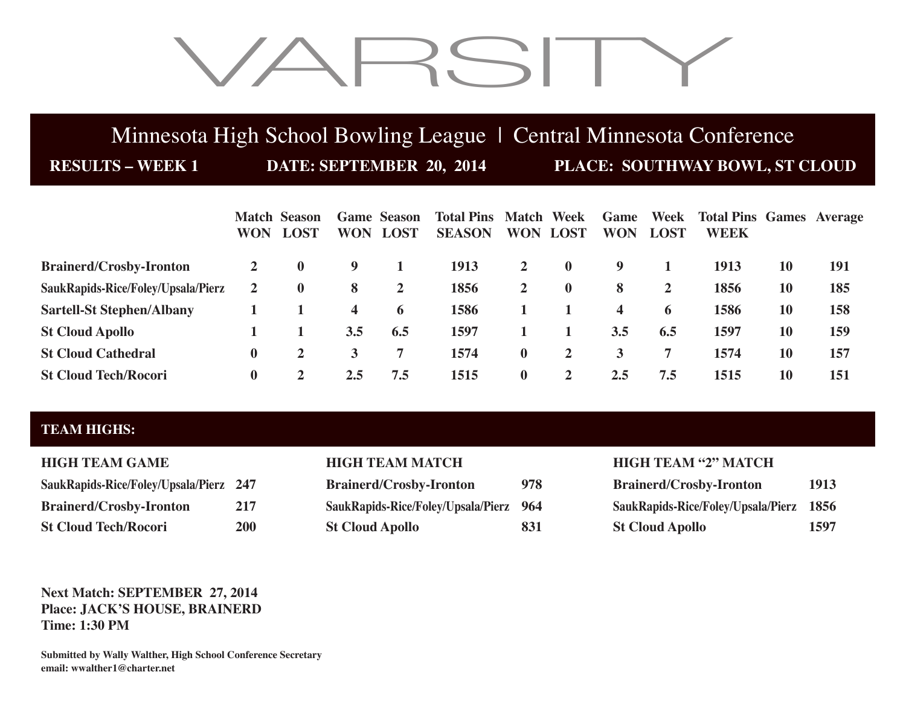# VARSITY

# Minnesota High School Bowling League | Central Minnesota Conference

**RESULTS – WEEK 1 DATE: SEPTEMBER 20, 2014 PLACE: SOUTHWAY BOWL, ST CLOUD**

|                                    |          | <b>Match Season</b><br><b>WON LOST</b> | <b>WON</b> | <b>Game Season</b><br><b>LOST</b> | <b>Total Pins Match Week</b><br><b>SEASON</b> |                | <b>WON LOST</b> | Game<br><b>WON</b> | Week<br><b>LOST</b> | <b>Total Pins Games Average</b><br><b>WEEK</b> |    |            |
|------------------------------------|----------|----------------------------------------|------------|-----------------------------------|-----------------------------------------------|----------------|-----------------|--------------------|---------------------|------------------------------------------------|----|------------|
| <b>Brainerd/Crosby-Ironton</b>     | 2        | $\mathbf 0$                            | 9          |                                   | 1913                                          | $\overline{2}$ | $\mathbf{0}$    | 9                  |                     | 1913                                           | 10 | <b>191</b> |
| SaukRapids-Rice/Foley/Upsala/Pierz | 2        | $\mathbf 0$                            | 8          | $\overline{2}$                    | 1856                                          | $\mathbf{2}$   | $\bf{0}$        | 8                  | 2                   | 1856                                           | 10 | 185        |
| <b>Sartell-St Stephen/Albany</b>   |          |                                        | 4          | $\mathbf 6$                       | 1586                                          |                |                 | 4                  | 6                   | 1586                                           | 10 | 158        |
| <b>St Cloud Apollo</b>             |          |                                        | 3.5        | 6.5                               | 1597                                          |                |                 | 3.5                | 6.5                 | 1597                                           | 10 | 159        |
| <b>St Cloud Cathedral</b>          | $\bf{0}$ |                                        | 3          | 7                                 | 1574                                          | $\mathbf{0}$   | $\mathbf{2}$    | 3                  | 7                   | 1574                                           | 10 | 157        |
| <b>St Cloud Tech/Rocori</b>        | $\bf{0}$ |                                        | 2.5        | 7.5                               | 1515                                          | $\bf{0}$       | $\mathbf{2}$    | 2.5                | 7.5                 | 1515                                           | 10 | 151        |

# **TEAM HIGHS:**

| SaukRapids-Rice/Foley/Upsala/Pierz 247 |            |
|----------------------------------------|------------|
| <b>Brainerd/Crosby-Ironton</b>         | 217        |
| <b>St Cloud Tech/Rocori</b>            | <b>200</b> |

| <b>Brainerd/Crosby-Ironton</b>     |     |  |  |  |  |
|------------------------------------|-----|--|--|--|--|
| SaukRapids-Rice/Foley/Upsala/Pierz | 964 |  |  |  |  |
| <b>St Cloud Apollo</b>             | 831 |  |  |  |  |

## **HIGH TEAM GAME HIGH TEAM MATCH HIGH TEAM "2" MATCH**

| SaukRapids-Rice/Foley/Upsala/Pierz 247 |            | <b>Brainerd/Crosby-Ironton</b>         | 978 | <b>Brainerd/Crosby-Ironton</b>          | 1913 |
|----------------------------------------|------------|----------------------------------------|-----|-----------------------------------------|------|
| <b>Brainerd/Crosby-Ironton</b>         | 217        | SaukRapids-Rice/Foley/Upsala/Pierz 964 |     | SaukRapids-Rice/Foley/Upsala/Pierz 1856 |      |
| <b>St Cloud Tech/Rocori</b>            | <b>200</b> | <b>St Cloud Apollo</b>                 | 831 | <b>St Cloud Apollo</b>                  | 1597 |

## **Next Match: SEPTEMBER 27, 2014 Place: JACK'S HOUSE, BRAINERD Time: 1:30 PM**

**Submitted by Wally Walther, High School Conference Secretary email: wwalther1@charter.net**